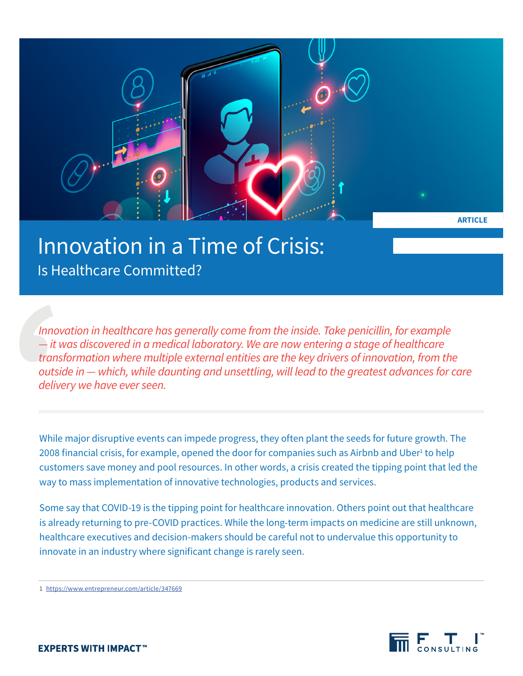

# Innovation in a Time of Crisis: Is Healthcare Committed?

*Innovation in healthcare has generally come from the inside. Take penicillin, for example — it was discovered in a medical laboratory. We are now entering a stage of healthcare transformation where multiple external entities are the key drivers of innovation, from the outside in — which, while daunting and unsettling, will lead to the greatest advances for care delivery we have ever seen.*

While major disruptive events can impede progress, they often plant the seeds for future growth. The 2008 financial crisis, for example, opened the door for companies such as Airbnb and Uber<sup>1</sup> to help customers save money and pool resources. In other words, a crisis created the tipping point that led the way to mass implementation of innovative technologies, products and services.

Some say that COVID-19 is the tipping point for healthcare innovation. Others point out that healthcare is already returning to pre-COVID practices. While the long-term impacts on medicine are still unknown, healthcare executives and decision-makers should be careful not to undervalue this opportunity to innovate in an industry where significant change is rarely seen.

1 <https://www.entrepreneur.com/article/347669>

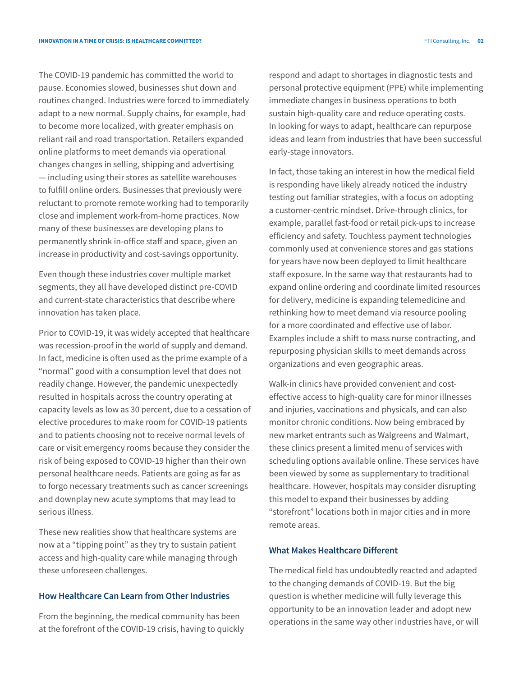The COVID-19 pandemic has committed the world to pause. Economies slowed, businesses shut down and routines changed. Industries were forced to immediately adapt to a new normal. Supply chains, for example, had to become more localized, with greater emphasis on reliant rail and road transportation. Retailers expanded online platforms to meet demands via operational changes changes in selling, shipping and advertising — including using their stores as satellite warehouses to fulfill online orders. Businesses that previously were reluctant to promote remote working had to temporarily close and implement work-from-home practices. Now many of these businesses are developing plans to permanently shrink in-office staff and space, given an increase in productivity and cost-savings opportunity.

Even though these industries cover multiple market segments, they all have developed distinct pre-COVID and current-state characteristics that describe where innovation has taken place.

Prior to COVID-19, it was widely accepted that healthcare was recession-proof in the world of supply and demand. In fact, medicine is often used as the prime example of a "normal" good with a consumption level that does not readily change. However, the pandemic unexpectedly resulted in hospitals across the country operating at capacity levels as low as 30 percent, due to a cessation of elective procedures to make room for COVID-19 patients and to patients choosing not to receive normal levels of care or visit emergency rooms because they consider the risk of being exposed to COVID-19 higher than their own personal healthcare needs. Patients are going as far as to forgo necessary treatments such as cancer screenings and downplay new acute symptoms that may lead to serious illness.

These new realities show that healthcare systems are now at a "tipping point" as they try to sustain patient access and high-quality care while managing through these unforeseen challenges.

# **How Healthcare Can Learn from Other Industries**

From the beginning, the medical community has been at the forefront of the COVID-19 crisis, having to quickly respond and adapt to shortages in diagnostic tests and personal protective equipment (PPE) while implementing immediate changes in business operations to both sustain high-quality care and reduce operating costs. In looking for ways to adapt, healthcare can repurpose ideas and learn from industries that have been successful early-stage innovators.

In fact, those taking an interest in how the medical field is responding have likely already noticed the industry testing out familiar strategies, with a focus on adopting a customer-centric mindset. Drive-through clinics, for example, parallel fast-food or retail pick-ups to increase efficiency and safety. Touchless payment technologies commonly used at convenience stores and gas stations for years have now been deployed to limit healthcare staff exposure. In the same way that restaurants had to expand online ordering and coordinate limited resources for delivery, medicine is expanding telemedicine and rethinking how to meet demand via resource pooling for a more coordinated and effective use of labor. Examples include a shift to mass nurse contracting, and repurposing physician skills to meet demands across organizations and even geographic areas.

Walk-in clinics have provided convenient and costeffective access to high-quality care for minor illnesses and injuries, vaccinations and physicals, and can also monitor chronic conditions. Now being embraced by new market entrants such as Walgreens and Walmart, these clinics present a limited menu of services with scheduling options available online. These services have been viewed by some as supplementary to traditional healthcare. However, hospitals may consider disrupting this model to expand their businesses by adding "storefront" locations both in major cities and in more remote areas.

# **What Makes Healthcare Different**

The medical field has undoubtedly reacted and adapted to the changing demands of COVID-19. But the big question is whether medicine will fully leverage this opportunity to be an innovation leader and adopt new operations in the same way other industries have, or will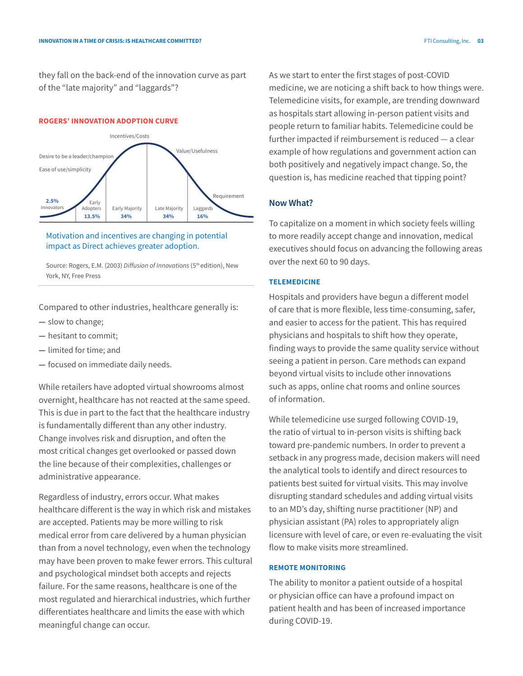they fall on the back-end of the innovation curve as part of the "late majority" and "laggards"?

#### **ROGERS' INNOVATION ADOPTION CURVE**



Motivation and incentives are changing in potential impact as Direct achieves greater adoption.

Source: Rogers, E.M. (2003) *Diffusion of Innovations* (5<sup>th</sup> edition), New York, NY, Free Press

Compared to other industries, healthcare generally is:

- **—** slow to change;
- **—** hesitant to commit;
- **—** limited for time; and
- **—** focused on immediate daily needs.

While retailers have adopted virtual showrooms almost overnight, healthcare has not reacted at the same speed. This is due in part to the fact that the healthcare industry is fundamentally different than any other industry. Change involves risk and disruption, and often the most critical changes get overlooked or passed down the line because of their complexities, challenges or administrative appearance.

Regardless of industry, errors occur. What makes healthcare different is the way in which risk and mistakes are accepted. Patients may be more willing to risk medical error from care delivered by a human physician than from a novel technology, even when the technology may have been proven to make fewer errors. This cultural and psychological mindset both accepts and rejects failure. For the same reasons, healthcare is one of the most regulated and hierarchical industries, which further differentiates healthcare and limits the ease with which meaningful change can occur.

As we start to enter the first stages of post-COVID medicine, we are noticing a shift back to how things were. Telemedicine visits, for example, are trending downward as hospitals start allowing in-person patient visits and people return to familiar habits. Telemedicine could be further impacted if reimbursement is reduced — a clear example of how regulations and government action can both positively and negatively impact change. So, the question is, has medicine reached that tipping point?

## **Now What?**

To capitalize on a moment in which society feels willing to more readily accept change and innovation, medical executives should focus on advancing the following areas over the next 60 to 90 days.

#### **TELEMEDICINE**

Hospitals and providers have begun a different model of care that is more flexible, less time-consuming, safer, and easier to access for the patient. This has required physicians and hospitals to shift how they operate, finding ways to provide the same quality service without seeing a patient in person. Care methods can expand beyond virtual visits to include other innovations such as apps, online chat rooms and online sources of information.

While telemedicine use surged following COVID-19, the ratio of virtual to in-person visits is shifting back toward pre-pandemic numbers. In order to prevent a setback in any progress made, decision makers will need the analytical tools to identify and direct resources to patients best suited for virtual visits. This may involve disrupting standard schedules and adding virtual visits to an MD's day, shifting nurse practitioner (NP) and physician assistant (PA) roles to appropriately align licensure with level of care, or even re-evaluating the visit flow to make visits more streamlined.

## **REMOTE MONITORING**

The ability to monitor a patient outside of a hospital or physician office can have a profound impact on patient health and has been of increased importance during COVID-19.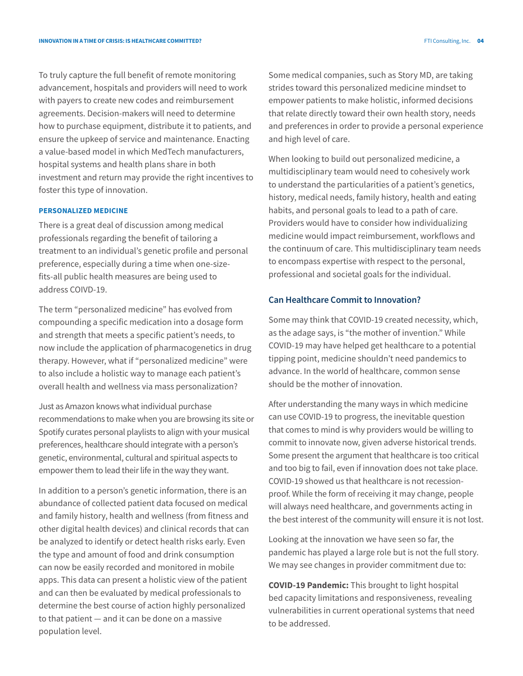To truly capture the full benefit of remote monitoring advancement, hospitals and providers will need to work with payers to create new codes and reimbursement agreements. Decision-makers will need to determine how to purchase equipment, distribute it to patients, and ensure the upkeep of service and maintenance. Enacting a value-based model in which MedTech manufacturers, hospital systems and health plans share in both investment and return may provide the right incentives to foster this type of innovation.

#### **PERSONALIZED MEDICINE**

There is a great deal of discussion among medical professionals regarding the benefit of tailoring a treatment to an individual's genetic profile and personal preference, especially during a time when one-sizefits-all public health measures are being used to address COIVD-19.

The term "personalized medicine" has evolved from compounding a specific medication into a dosage form and strength that meets a specific patient's needs, to now include the application of pharmacogenetics in drug therapy. However, what if "personalized medicine" were to also include a holistic way to manage each patient's overall health and wellness via mass personalization?

Just as Amazon knows what individual purchase recommendations to make when you are browsing its site or Spotify curates personal playlists to align with your musical preferences, healthcare should integrate with a person's genetic, environmental, cultural and spiritual aspects to empower them to lead their life in the way they want.

In addition to a person's genetic information, there is an abundance of collected patient data focused on medical and family history, health and wellness (from fitness and other digital health devices) and clinical records that can be analyzed to identify or detect health risks early. Even the type and amount of food and drink consumption can now be easily recorded and monitored in mobile apps. This data can present a holistic view of the patient and can then be evaluated by medical professionals to determine the best course of action highly personalized to that patient — and it can be done on a massive population level.

Some medical companies, such as Story MD, are taking strides toward this personalized medicine mindset to empower patients to make holistic, informed decisions that relate directly toward their own health story, needs and preferences in order to provide a personal experience and high level of care.

When looking to build out personalized medicine, a multidisciplinary team would need to cohesively work to understand the particularities of a patient's genetics, history, medical needs, family history, health and eating habits, and personal goals to lead to a path of care. Providers would have to consider how individualizing medicine would impact reimbursement, workflows and the continuum of care. This multidisciplinary team needs to encompass expertise with respect to the personal, professional and societal goals for the individual.

## **Can Healthcare Commit to Innovation?**

Some may think that COVID-19 created necessity, which, as the adage says, is "the mother of invention." While COVID-19 may have helped get healthcare to a potential tipping point, medicine shouldn't need pandemics to advance. In the world of healthcare, common sense should be the mother of innovation.

After understanding the many ways in which medicine can use COVID-19 to progress, the inevitable question that comes to mind is why providers would be willing to commit to innovate now, given adverse historical trends. Some present the argument that healthcare is too critical and too big to fail, even if innovation does not take place. COVID-19 showed us that healthcare is not recessionproof. While the form of receiving it may change, people will always need healthcare, and governments acting in the best interest of the community will ensure it is not lost.

Looking at the innovation we have seen so far, the pandemic has played a large role but is not the full story. We may see changes in provider commitment due to:

**COVID-19 Pandemic:** This brought to light hospital bed capacity limitations and responsiveness, revealing vulnerabilities in current operational systems that need to be addressed.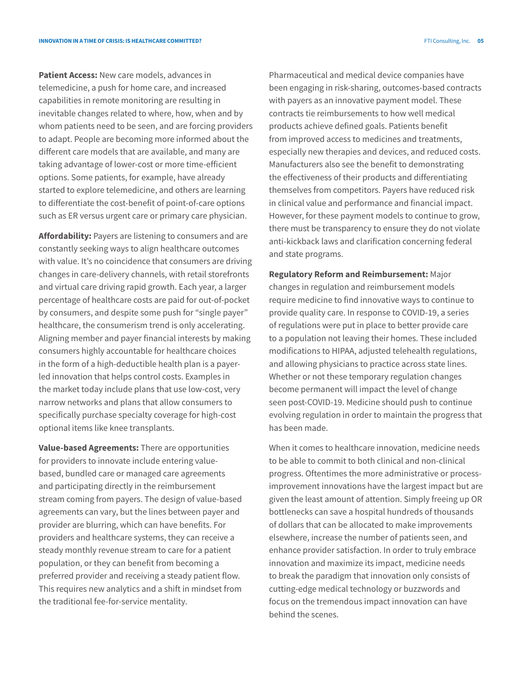**Patient Access:** New care models, advances in telemedicine, a push for home care, and increased capabilities in remote monitoring are resulting in inevitable changes related to where, how, when and by whom patients need to be seen, and are forcing providers to adapt. People are becoming more informed about the different care models that are available, and many are taking advantage of lower-cost or more time-efficient options. Some patients, for example, have already started to explore telemedicine, and others are learning to differentiate the cost-benefit of point-of-care options such as ER versus urgent care or primary care physician.

**Affordability:** Payers are listening to consumers and are constantly seeking ways to align healthcare outcomes with value. It's no coincidence that consumers are driving changes in care-delivery channels, with retail storefronts and virtual care driving rapid growth. Each year, a larger percentage of healthcare costs are paid for out-of-pocket by consumers, and despite some push for "single payer" healthcare, the consumerism trend is only accelerating. Aligning member and payer financial interests by making consumers highly accountable for healthcare choices in the form of a high-deductible health plan is a payerled innovation that helps control costs. Examples in the market today include plans that use low-cost, very narrow networks and plans that allow consumers to specifically purchase specialty coverage for high-cost optional items like knee transplants.

**Value-based Agreements:** There are opportunities for providers to innovate include entering valuebased, bundled care or managed care agreements and participating directly in the reimbursement stream coming from payers. The design of value-based agreements can vary, but the lines between payer and provider are blurring, which can have benefits. For providers and healthcare systems, they can receive a steady monthly revenue stream to care for a patient population, or they can benefit from becoming a preferred provider and receiving a steady patient flow. This requires new analytics and a shift in mindset from the traditional fee-for-service mentality.

Pharmaceutical and medical device companies have been engaging in risk-sharing, outcomes-based contracts with payers as an innovative payment model. These contracts tie reimbursements to how well medical products achieve defined goals. Patients benefit from improved access to medicines and treatments, especially new therapies and devices, and reduced costs. Manufacturers also see the benefit to demonstrating the effectiveness of their products and differentiating themselves from competitors. Payers have reduced risk in clinical value and performance and financial impact. However, for these payment models to continue to grow, there must be transparency to ensure they do not violate anti-kickback laws and clarification concerning federal and state programs.

**Regulatory Reform and Reimbursement:** Major changes in regulation and reimbursement models require medicine to find innovative ways to continue to provide quality care. In response to COVID-19, a series of regulations were put in place to better provide care to a population not leaving their homes. These included modifications to HIPAA, adjusted telehealth regulations, and allowing physicians to practice across state lines. Whether or not these temporary regulation changes become permanent will impact the level of change seen post-COVID-19. Medicine should push to continue evolving regulation in order to maintain the progress that has been made.

When it comes to healthcare innovation, medicine needs to be able to commit to both clinical and non-clinical progress. Oftentimes the more administrative or processimprovement innovations have the largest impact but are given the least amount of attention. Simply freeing up OR bottlenecks can save a hospital hundreds of thousands of dollars that can be allocated to make improvements elsewhere, increase the number of patients seen, and enhance provider satisfaction. In order to truly embrace innovation and maximize its impact, medicine needs to break the paradigm that innovation only consists of cutting-edge medical technology or buzzwords and focus on the tremendous impact innovation can have behind the scenes.